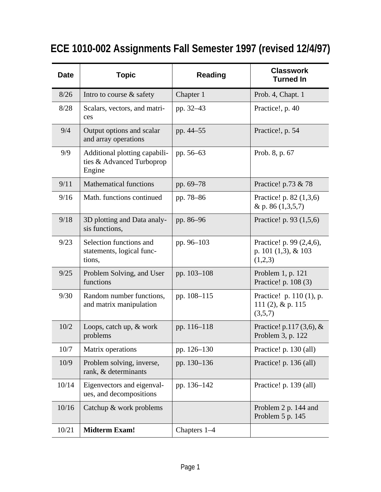| <b>Date</b> | <b>Topic</b>                                                         | <b>Reading</b> | <b>Classwork</b><br><b>Turned In</b>                          |
|-------------|----------------------------------------------------------------------|----------------|---------------------------------------------------------------|
| 8/26        | Intro to course $\&$ safety                                          | Chapter 1      | Prob. 4, Chapt. 1                                             |
| 8/28        | Scalars, vectors, and matri-<br>ces                                  | pp. 32–43      | Practice!, p. 40                                              |
| 9/4         | Output options and scalar<br>and array operations                    | pp. 44-55      | Practice!, p. 54                                              |
| 9/9         | Additional plotting capabili-<br>ties & Advanced Turboprop<br>Engine | pp. 56–63      | Prob. 8, p. 67                                                |
| 9/11        | <b>Mathematical functions</b>                                        | pp. 69-78      | Practice! p.73 & 78                                           |
| 9/16        | Math. functions continued                                            | pp. 78–86      | Practice! p. 82 (1,3,6)<br>& p. 86 $(1,3,5,7)$                |
| 9/18        | 3D plotting and Data analy-<br>sis functions,                        | pp. 86–96      | Practice! p. 93 (1,5,6)                                       |
| 9/23        | Selection functions and<br>statements, logical func-<br>tions,       | pp. 96-103     | Practice! p. 99 (2,4,6),<br>p. 101 $(1,3)$ , & 103<br>(1,2,3) |
| 9/25        | Problem Solving, and User<br>functions                               | pp. 103-108    | Problem 1, p. 121<br>Practice! p. 108 (3)                     |
| 9/30        | Random number functions,<br>and matrix manipulation                  | pp. 108-115    | Practice! p. 110 (1), p.<br>111 $(2)$ , & p. 115<br>(3,5,7)   |
| 10/2        | Loops, catch up, & work<br>problems                                  | pp. 116-118    | Practice! p.117 $(3,6)$ , &<br>Problem 3, p. 122              |
| 10/7        | Matrix operations                                                    | pp. 126-130    | Practice! p. 130 (all)                                        |
| 10/9        | Problem solving, inverse,<br>rank, & determinants                    | pp. 130-136    | Practice! p. 136 (all)                                        |
| 10/14       | Eigenvectors and eigenval-<br>ues, and decompositions                | pp. 136-142    | Practice! p. 139 (all)                                        |
| 10/16       | Catchup & work problems                                              |                | Problem 2 p. 144 and<br>Problem 5 p. 145                      |
| 10/21       | <b>Midterm Exam!</b>                                                 | Chapters 1-4   |                                                               |

## **ECE 1010-002 Assignments Fall Semester 1997 (revised 12/4/97)**